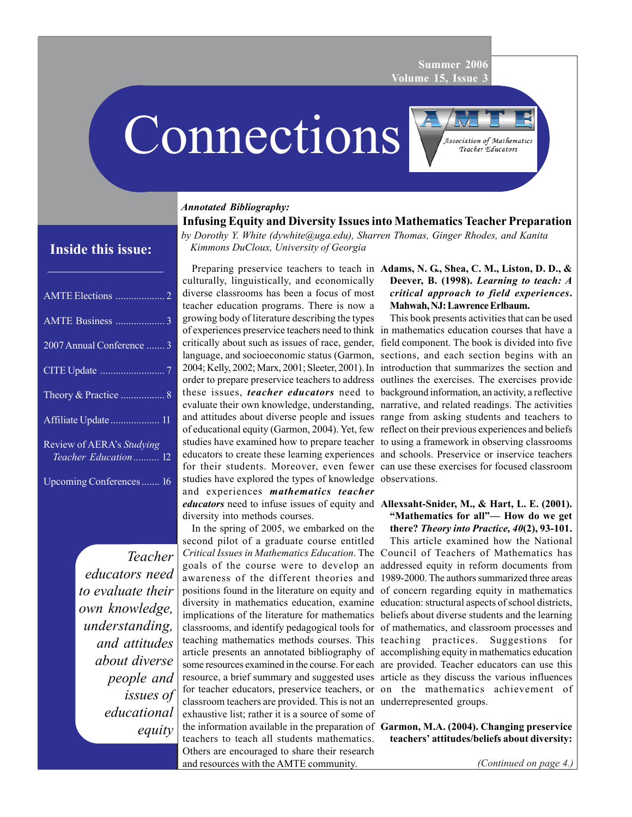**Summer 2006 Volume 15, Issue 3**

# Connections

*Annotated Bibliography:*

| 2007 Annual Conference  3                         |
|---------------------------------------------------|
|                                                   |
|                                                   |
|                                                   |
| Review of AERA's Studying<br>Teacher Education 12 |
| Upcoming Conferences 16                           |

*Teacher educators need to evaluate their own knowledge, understanding, and attitudes about diverse people and issues of educational equity*

**Infusing Equity and Diversity Issues into Mathematics Teacher Preparation** *by Dorothy Y. White (dywhite@uga.edu), Sharren Thomas, Ginger Rhodes, and Kanita Kimmons DuCloux, University of Georgia* **Inside this issue:**

> Preparing preservice teachers to teach in **Adams, N. G., Shea, C. M., Liston, D. D., &** culturally, linguistically, and economically diverse classrooms has been a focus of most teacher education programs. There is now a growing body of literature describing the types of experiences preservice teachers need to think in mathematics education courses that have a critically about such as issues of race, gender, field component. The book is divided into five language, and socioeconomic status (Garmon, sections, and each section begins with an 2004; Kelly, 2002; Marx, 2001; Sleeter, 2001). In introduction that summarizes the section and order to prepare preservice teachers to address outlines the exercises. The exercises provide these issues, *teacher educators* need to background information, an activity, a reflective evaluate their own knowledge, understanding, narrative, and related readings. The activities and attitudes about diverse people and issues range from asking students and teachers to of educational equity (Garmon, 2004). Yet, few reflect on their previous experiences and beliefs studies have examined how to prepare teacher to using a framework in observing classrooms educators to create these learning experiences and schools. Preservice or inservice teachers for their students. Moreover, even fewer can use these exercises for focused classroom studies have explored the types of knowledge observations. and experiences *mathematics teacher educators* need to infuse issues of equity and **Allexsaht-Snider, M., & Hart, L. E. (2001).** diversity into methods courses.

> In the spring of 2005, we embarked on the second pilot of a graduate course entitled classroom teachers are provided. This is not an underrepresented groups. exhaustive list; rather it is a source of some of the information available in the preparation of **Garmon, M.A. (2004). Changing preservice** teachers to teach all students mathematics. Others are encouraged to share their research and resources with the AMTE community.

## **Deever, B. (1998).** *Learning to teach: A critical approach to field experiences***. Mahwah, NJ: Lawrence Erlbaum.**

Association of Mathematics Teacher Educators

This book presents activities that can be used

**"Mathematics for all"— How do we get**

*Critical Issues in Mathematics Education*. The Council of Teachers of Mathematics has goals of the course were to develop an addressed equity in reform documents from awareness of the different theories and 1989-2000. The authors summarized three areas positions found in the literature on equity and of concern regarding equity in mathematics diversity in mathematics education, examine education: structural aspects of school districts, implications of the literature for mathematics beliefs about diverse students and the learning classrooms, and identify pedagogical tools for of mathematics, and classroom processes and teaching mathematics methods courses. This teaching practices. Suggestions for article presents an annotated bibliography of accomplishing equity in mathematics education some resources examined in the course. For each are provided. Teacher educators can use this resource, a brief summary and suggested uses article as they discuss the various influences for teacher educators, preservice teachers, or on the mathematics achievement of **there?** *Theory into Practice, 40***(2), 93-101.** This article examined how the National

**teachers' attitudes/beliefs about diversity:**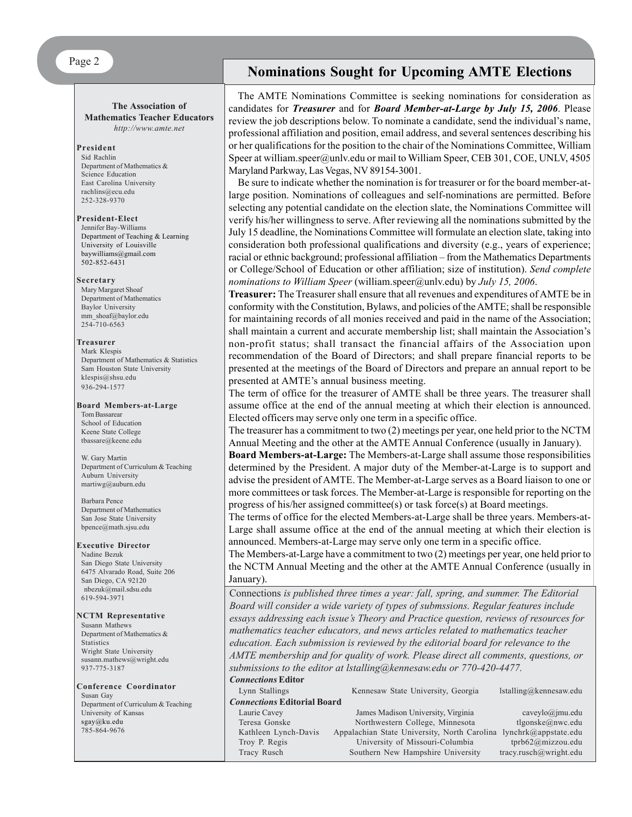#### **The Association of Mathematics Teacher Educators** *http://www.amte.net*

#### **President**

Sid Rachlin Department of Mathematics & Science Education East Carolina University rachlins@ecu.edu 252-328-9370

#### **President-Elect**

Jennifer Bay-Williams Department of Teaching & Learning University of Louisville baywilliams@gmail.com 502-852-6431

#### **Secretary**

Mary Margaret Shoaf Department of Mathematics Baylor University mm\_shoaf@baylor.edu 254-710-6563

#### **Treasurer**

Mark Klespis Department of Mathematics & Statistics Sam Houston State University klespis@shsu.edu 936-294-1577

#### **Board Members-at-Large** Tom Bassarear School of Education Keene State College tbassare@keene.edu

W. Gary Martin Department of Curriculum & Teaching Auburn University martiwg@auburn.edu

#### Barbara Pence Department of Mathematics San Jose State University bpence@math.sjsu.edu

#### **Executive Director**

Nadine Bezuk San Diego State University 6475 Alvarado Road, Suite 206 San Diego, CA 92120 nbezuk@mail.sdsu.edu 619-594-3971

#### **NCTM Representative**

Susann Mathews Department of Mathematics & **Statistics** Wright State University susann.mathews@wright.edu 937-775-3187

#### **Conference Coordinator** Susan Gay Department of Curriculum & Teaching University of Kansas sgay@ku.edu 785-864-9676

## **Nominations Sought for Upcoming AMTE Elections**

The AMTE Nominations Committee is seeking nominations for consideration as candidates for *Treasurer* and for *Board Member-at-Large by July 15, 2006*. Please review the job descriptions below. To nominate a candidate, send the individual's name, professional affiliation and position, email address, and several sentences describing his or her qualifications for the position to the chair of the Nominations Committee, William Speer at william.speer@unlv.edu or mail to William Speer, CEB 301, COE, UNLV, 4505 Maryland Parkway, Las Vegas, NV 89154-3001.

Be sure to indicate whether the nomination is for treasurer or for the board member-atlarge position. Nominations of colleagues and self-nominations are permitted. Before selecting any potential candidate on the election slate, the Nominations Committee will verify his/her willingness to serve. After reviewing all the nominations submitted by the July 15 deadline, the Nominations Committee will formulate an election slate, taking into consideration both professional qualifications and diversity (e.g., years of experience; racial or ethnic background; professional affiliation – from the Mathematics Departments or College/School of Education or other affiliation; size of institution). *Send complete nominations to William Speer* (william.speer@unlv.edu) by *July 15, 2006*.

**Treasurer:** The Treasurer shall ensure that all revenues and expenditures of AMTE be in conformity with the Constitution, Bylaws, and policies of the AMTE; shall be responsible for maintaining records of all monies received and paid in the name of the Association; shall maintain a current and accurate membership list; shall maintain the Association's non-profit status; shall transact the financial affairs of the Association upon recommendation of the Board of Directors; and shall prepare financial reports to be presented at the meetings of the Board of Directors and prepare an annual report to be presented at AMTE's annual business meeting.

The term of office for the treasurer of AMTE shall be three years. The treasurer shall assume office at the end of the annual meeting at which their election is announced. Elected officers may serve only one term in a specific office.

The treasurer has a commitment to two (2) meetings per year, one held prior to the NCTM Annual Meeting and the other at the AMTE Annual Conference (usually in January).

**Board Members-at-Large:** The Members-at-Large shall assume those responsibilities determined by the President. A major duty of the Member-at-Large is to support and advise the president of AMTE. The Member-at-Large serves as a Board liaison to one or more committees or task forces. The Member-at-Large is responsible for reporting on the progress of his/her assigned committee(s) or task force(s) at Board meetings.

The terms of office for the elected Members-at-Large shall be three years. Members-at-Large shall assume office at the end of the annual meeting at which their election is announced. Members-at-Large may serve only one term in a specific office.

The Members-at-Large have a commitment to two (2) meetings per year, one held prior to the NCTM Annual Meeting and the other at the AMTE Annual Conference (usually in January).

Connections *is published three times a year: fall, spring, and summer. The Editorial Board will consider a wide variety of types of submssions. Regular features include essays addressing each issue's Theory and Practice question, reviews of resources for mathematics teacher educators, and news articles related to mathematics teacher education. Each submission is reviewed by the editorial board for relevance to the AMTE membership and for quality of work. Please direct all comments, questions, or submissions to the editor at lstalling@kennesaw.edu or 770-420-4477. Connections* **Editor**

| Lynn Stallings                     | Kennesaw State University, Georgia                                | $İstalling@$ kennesaw.edu |
|------------------------------------|-------------------------------------------------------------------|---------------------------|
| <b>Connections Editorial Board</b> |                                                                   |                           |
| Laurie Cavey                       | James Madison University, Virginia                                | $caveylo(a)$ jmu.edu      |
| Teresa Gonske                      | Northwestern College, Minnesota                                   | tlgonske@nwc.edu          |
| Kathleen Lynch-Davis               | Appalachian State University, North Carolina lynchrk@appstate.edu |                           |
| Troy P. Regis                      | University of Missouri-Columbia                                   | tprb62@mizzou.edu         |
| Tracy Rusch                        | Southern New Hampshire University                                 | tracy.rusch@wright.edu    |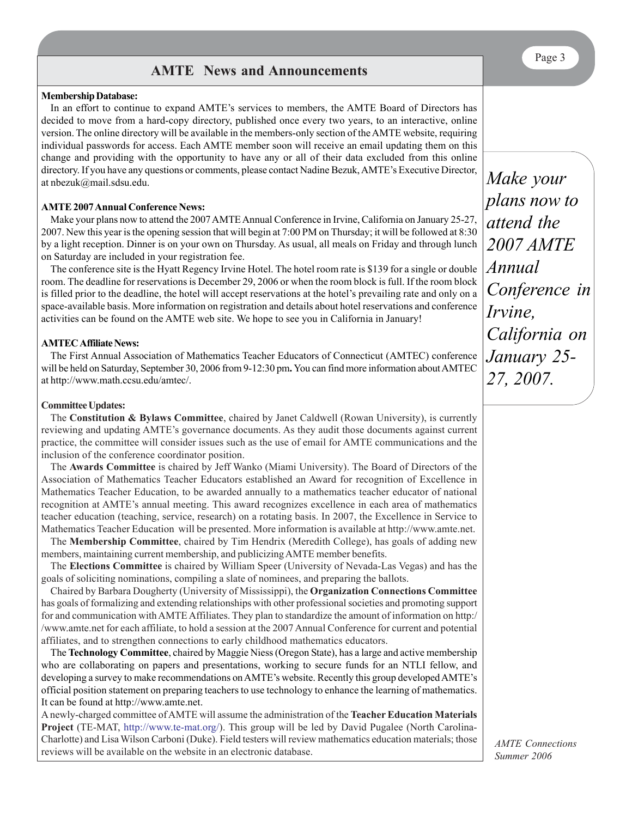## **AMTE News and Announcements**

#### **Membership Database:**

In an effort to continue to expand AMTE's services to members, the AMTE Board of Directors has decided to move from a hard-copy directory, published once every two years, to an interactive, online version. The online directory will be available in the members-only section of the AMTE website, requiring individual passwords for access. Each AMTE member soon will receive an email updating them on this change and providing with the opportunity to have any or all of their data excluded from this online directory. If you have any questions or comments, please contact Nadine Bezuk, AMTE's Executive Director, at nbezuk@mail.sdsu.edu.

#### **AMTE 2007 Annual Conference News:**

Make your plans now to attend the 2007 AMTE Annual Conference in Irvine, California on January 25-27, 2007. New this year is the opening session that will begin at 7:00 PM on Thursday; it will be followed at 8:30 by a light reception. Dinner is on your own on Thursday. As usual, all meals on Friday and through lunch on Saturday are included in your registration fee.

The conference site is the Hyatt Regency Irvine Hotel. The hotel room rate is \$139 for a single or double room. The deadline for reservations is December 29, 2006 or when the room block is full. If the room block is filled prior to the deadline, the hotel will accept reservations at the hotel's prevailing rate and only on a space-available basis. More information on registration and details about hotel reservations and conference activities can be found on the AMTE web site. We hope to see you in California in January!

#### **AMTEC Affiliate News:**

The First Annual Association of Mathematics Teacher Educators of Connecticut (AMTEC) conference will be held on Saturday, September 30, 2006 from 9-12:30 pm**.** You can find more information about AMTEC at http://www.math.ccsu.edu/amtec/.

#### **Committee Updates:**

The **Constitution & Bylaws Committee**, chaired by Janet Caldwell (Rowan University), is currently reviewing and updating AMTE's governance documents. As they audit those documents against current practice, the committee will consider issues such as the use of email for AMTE communications and the inclusion of the conference coordinator position.

The **Awards Committee** is chaired by Jeff Wanko (Miami University). The Board of Directors of the Association of Mathematics Teacher Educators established an Award for recognition of Excellence in Mathematics Teacher Education, to be awarded annually to a mathematics teacher educator of national recognition at AMTE's annual meeting. This award recognizes excellence in each area of mathematics teacher education (teaching, service, research) on a rotating basis. In 2007, the Excellence in Service to Mathematics Teacher Education will be presented. More information is available at http://www.amte.net.

The **Membership Committee**, chaired by Tim Hendrix (Meredith College), has goals of adding new members, maintaining current membership, and publicizing AMTE member benefits.

The **Elections Committee** is chaired by William Speer (University of Nevada-Las Vegas) and has the goals of soliciting nominations, compiling a slate of nominees, and preparing the ballots.

Chaired by Barbara Dougherty (University of Mississippi), the **Organization Connections Committee** has goals of formalizing and extending relationships with other professional societies and promoting support for and communication with AMTE Affiliates. They plan to standardize the amount of information on http:/ /www.amte.net for each affiliate, to hold a session at the 2007 Annual Conference for current and potential affiliates, and to strengthen connections to early childhood mathematics educators.

The **Technology Committee**, chaired by Maggie Niess (Oregon State), has a large and active membership who are collaborating on papers and presentations, working to secure funds for an NTLI fellow, and developing a survey to make recommendations on AMTE's website. Recently this group developed AMTE's official position statement on preparing teachers to use technology to enhance the learning of mathematics. It can be found at http://www.amte.net.

A newly-charged committee of AMTE will assume the administration of the **Teacher Education Materials Project** (TE-MAT, http://www.te-mat.org/). This group will be led by David Pugalee (North Carolina-Charlotte) and Lisa Wilson Carboni (Duke). Field testers will review mathematics education materials; those reviews will be available on the website in an electronic database.

*Make your plans now to attend the 2007 AMTE Annual Conference in Irvine, California on January 25- 27, 2007.*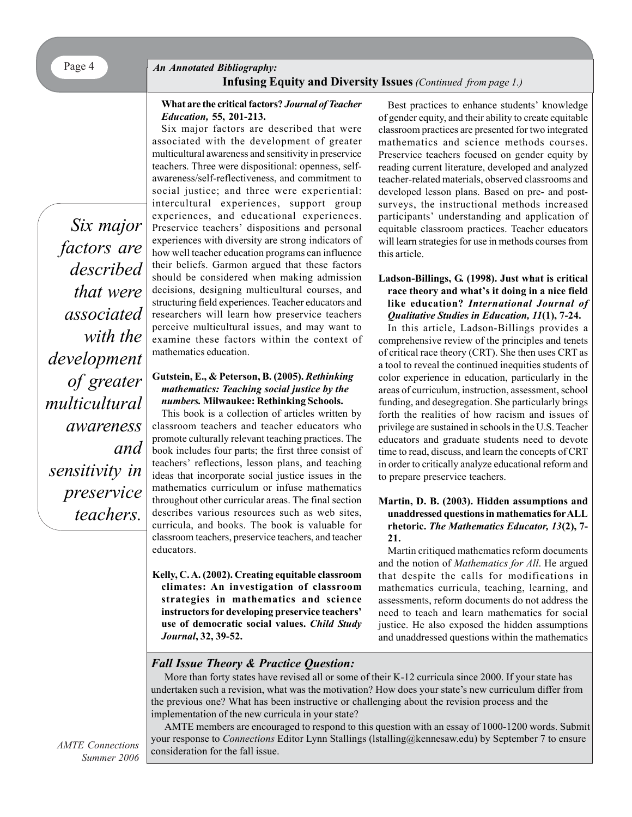## Page 4 *An Annotated Bibliography:* **Infusing Equity and Diversity Issues***(Continued from page 1.)*

#### **What are the critical factors?** *Journal of Teacher Education,* **55, 201-213.**

*Six major factors are described that were associated with the development of greater multicultural awareness and sensitivity in preservice teachers.*

Six major factors are described that were associated with the development of greater multicultural awareness and sensitivity in preservice teachers. Three were dispositional: openness, selfawareness/self-reflectiveness, and commitment to social justice; and three were experiential: intercultural experiences, support group experiences, and educational experiences. Preservice teachers' dispositions and personal experiences with diversity are strong indicators of how well teacher education programs can influence their beliefs. Garmon argued that these factors should be considered when making admission decisions, designing multicultural courses, and structuring field experiences. Teacher educators and researchers will learn how preservice teachers perceive multicultural issues, and may want to examine these factors within the context of mathematics education.

#### **Gutstein, E., & Peterson, B. (2005).** *Rethinking mathematics: Teaching social justice by the numbers.* **Milwaukee: Rethinking Schools.**

This book is a collection of articles written by classroom teachers and teacher educators who promote culturally relevant teaching practices. The book includes four parts; the first three consist of teachers' reflections, lesson plans, and teaching ideas that incorporate social justice issues in the mathematics curriculum or infuse mathematics throughout other curricular areas. The final section describes various resources such as web sites, curricula, and books. The book is valuable for classroom teachers, preservice teachers, and teacher educators.

**Kelly, C. A. (2002). Creating equitable classroom climates: An investigation of classroom strategies in mathematics and science instructors for developing preservice teachers' use of democratic social values.** *Child Study Journal***, 32, 39-52.**

Best practices to enhance students' knowledge of gender equity, and their ability to create equitable classroom practices are presented for two integrated mathematics and science methods courses. Preservice teachers focused on gender equity by reading current literature, developed and analyzed teacher-related materials, observed classrooms and developed lesson plans. Based on pre- and postsurveys, the instructional methods increased participants' understanding and application of equitable classroom practices. Teacher educators will learn strategies for use in methods courses from this article.

#### **Ladson-Billings, G. (1998). Just what is critical race theory and what's it doing in a nice field like education?** *International Journal of Qualitative Studies in Education, 11***(1), 7-24.**

In this article, Ladson-Billings provides a comprehensive review of the principles and tenets of critical race theory (CRT). She then uses CRT as a tool to reveal the continued inequities students of color experience in education, particularly in the areas of curriculum, instruction, assessment, school funding, and desegregation. She particularly brings forth the realities of how racism and issues of privilege are sustained in schools in the U.S. Teacher educators and graduate students need to devote time to read, discuss, and learn the concepts of CRT in order to critically analyze educational reform and to prepare preservice teachers.

#### **Martin, D. B. (2003). Hidden assumptions and unaddressed questions in mathematics for ALL rhetoric.** *The Mathematics Educator, 13***(2), 7- 21.**

Martin critiqued mathematics reform documents and the notion of *Mathematics for All*. He argued that despite the calls for modifications in mathematics curricula, teaching, learning, and assessments, reform documents do not address the need to teach and learn mathematics for social justice. He also exposed the hidden assumptions and unaddressed questions within the mathematics

## *Fall Issue Theory & Practice Question:*

More than forty states have revised all or some of their K-12 curricula since 2000. If your state has undertaken such a revision, what was the motivation? How does your state's new curriculum differ from the previous one? What has been instructive or challenging about the revision process and the implementation of the new curricula in your state?

AMTE members are encouraged to respond to this question with an essay of 1000-1200 words. Submit your response to *Connections* Editor Lynn Stallings (lstalling@kennesaw.edu) by September 7 to ensure consideration for the fall issue.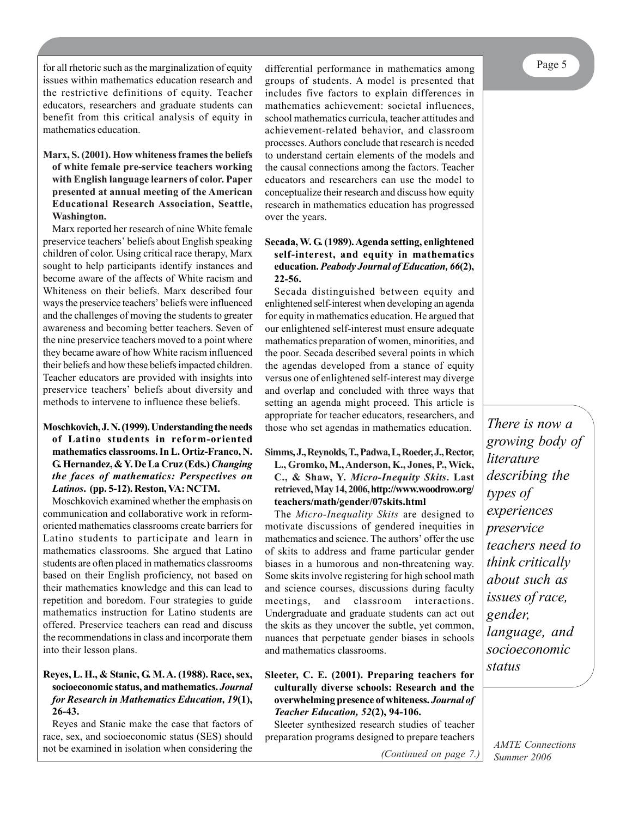Page 5

for all rhetoric such as the marginalization of equity issues within mathematics education research and the restrictive definitions of equity. Teacher educators, researchers and graduate students can benefit from this critical analysis of equity in mathematics education.

#### **Marx, S. (2001). How whiteness frames the beliefs of white female pre-service teachers working with English language learners of color. Paper presented at annual meeting of the American Educational Research Association, Seattle, Washington.**

Marx reported her research of nine White female preservice teachers' beliefs about English speaking children of color. Using critical race therapy, Marx sought to help participants identify instances and become aware of the affects of White racism and Whiteness on their beliefs. Marx described four ways the preservice teachers' beliefs were influenced and the challenges of moving the students to greater awareness and becoming better teachers. Seven of the nine preservice teachers moved to a point where they became aware of how White racism influenced their beliefs and how these beliefs impacted children. Teacher educators are provided with insights into preservice teachers' beliefs about diversity and methods to intervene to influence these beliefs.

#### **Moschkovich, J. N. (1999). Understanding the needs of Latino students in reform-oriented mathematics classrooms. In L. Ortiz-Franco, N. G. Hernandez, & Y. De La Cruz (Eds.)** *Changing the faces of mathematics: Perspectives on Latinos***.****(pp. 5-12). Reston, VA: NCTM.**

Moschkovich examined whether the emphasis on communication and collaborative work in reformoriented mathematics classrooms create barriers for Latino students to participate and learn in mathematics classrooms. She argued that Latino students are often placed in mathematics classrooms based on their English proficiency, not based on their mathematics knowledge and this can lead to repetition and boredom. Four strategies to guide mathematics instruction for Latino students are offered. Preservice teachers can read and discuss the recommendations in class and incorporate them into their lesson plans.

#### **Reyes, L. H., & Stanic, G. M. A. (1988). Race, sex, socioeconomic status, and mathematics.** *Journal for Research in Mathematics Education, 19***(1), 26-43.**

Reyes and Stanic make the case that factors of race, sex, and socioeconomic status (SES) should not be examined in isolation when considering the

differential performance in mathematics among groups of students. A model is presented that includes five factors to explain differences in mathematics achievement: societal influences, school mathematics curricula, teacher attitudes and achievement-related behavior, and classroom processes. Authors conclude that research is needed to understand certain elements of the models and the causal connections among the factors. Teacher educators and researchers can use the model to conceptualize their research and discuss how equity research in mathematics education has progressed over the years.

#### **Secada, W. G. (1989). Agenda setting, enlightened self-interest, and equity in mathematics education.** *Peabody Journal of Education, 66***(2), 22-56.**

Secada distinguished between equity and enlightened self-interest when developing an agenda for equity in mathematics education. He argued that our enlightened self-interest must ensure adequate mathematics preparation of women, minorities, and the poor. Secada described several points in which the agendas developed from a stance of equity versus one of enlightened self-interest may diverge and overlap and concluded with three ways that setting an agenda might proceed. This article is appropriate for teacher educators, researchers, and those who set agendas in mathematics education.

#### **Simms, J., Reynolds, T., Padwa, L, Roeder, J., Rector, L., Gromko, M., Anderson, K., Jones, P., Wick,**

**C., & Shaw, Y.** *Micro-Inequity Skits***. Last retrieved, May 14, 2006, http://www.woodrow.org/ teachers/math/gender/07skits.html**

The *Micro-Inequality Skits* are designed to motivate discussions of gendered inequities in mathematics and science. The authors' offer the use of skits to address and frame particular gender biases in a humorous and non-threatening way. Some skits involve registering for high school math and science courses, discussions during faculty meetings, and classroom interactions. Undergraduate and graduate students can act out the skits as they uncover the subtle, yet common, nuances that perpetuate gender biases in schools and mathematics classrooms.

#### **Sleeter, C. E. (2001). Preparing teachers for culturally diverse schools: Research and the overwhelming presence of whiteness.** *Journal of Teacher Education, 52***(2), 94-106.**

Sleeter synthesized research studies of teacher preparation programs designed to prepare teachers

*(Continued on page 7.)*

*There is now a growing body of literature describing the types of experiences preservice teachers need to think critically about such as issues of race, gender, language, and socioeconomic status*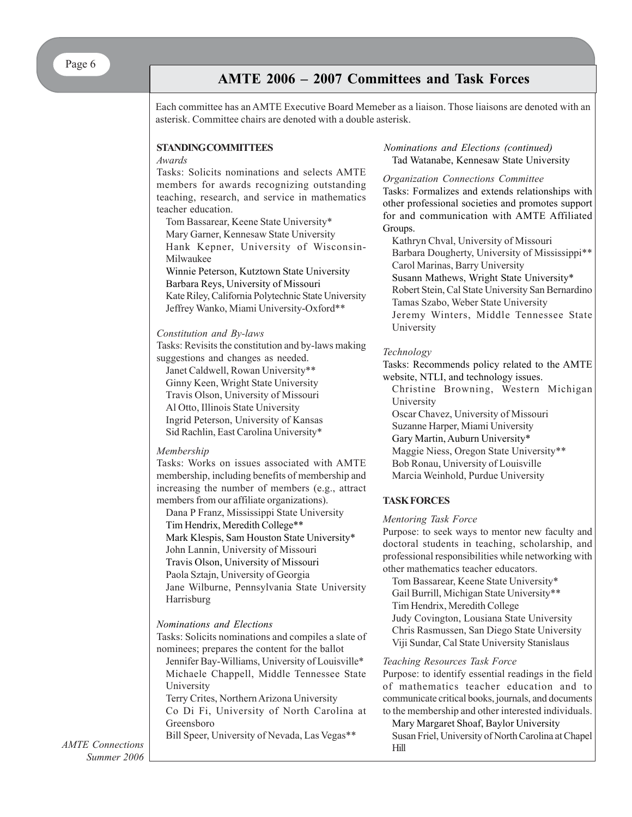## **AMTE 2006 – 2007 Committees and Task Forces**

Each committee has an AMTE Executive Board Memeber as a liaison. Those liaisons are denoted with an asterisk. Committee chairs are denoted with a double asterisk.

#### **STANDING COMMITTEES**

#### *Awards*

Tasks: Solicits nominations and selects AMTE members for awards recognizing outstanding teaching, research, and service in mathematics teacher education.

Tom Bassarear, Keene State University\* Mary Garner, Kennesaw State University Hank Kepner, University of Wisconsin-Milwaukee

Winnie Peterson, Kutztown State University Barbara Reys, University of Missouri Kate Riley, California Polytechnic State University Jeffrey Wanko, Miami University-Oxford\*\*

#### *Constitution and By-laws*

Tasks: Revisits the constitution and by-laws making suggestions and changes as needed.

Janet Caldwell, Rowan University\*\* Ginny Keen, Wright State University Travis Olson, University of Missouri Al Otto, Illinois State University Ingrid Peterson, University of Kansas Sid Rachlin, East Carolina University\*

#### *Membership*

Tasks: Works on issues associated with AMTE membership, including benefits of membership and increasing the number of members (e.g., attract members from our affiliate organizations).

Dana P Franz, Mississippi State University Tim Hendrix, Meredith College\*\* Mark Klespis, Sam Houston State University\* John Lannin, University of Missouri Travis Olson, University of Missouri Paola Sztajn, University of Georgia Jane Wilburne, Pennsylvania State University Harrisburg

#### *Nominations and Elections*

Tasks: Solicits nominations and compiles a slate of nominees; prepares the content for the ballot

Jennifer Bay-Williams, University of Louisville\* Michaele Chappell, Middle Tennessee State University

Terry Crites, Northern Arizona University Co Di Fi, University of North Carolina at Greensboro

Bill Speer, University of Nevada, Las Vegas\*\*

#### Tad Watanabe, Kennesaw State University *Nominations and Elections (continued)*

#### *Organization Connections Committee* Tasks: Formalizes and extends relationships with other professional societies and promotes support for and communication with AMTE Affiliated Groups.

Kathryn Chval, University of Missouri Barbara Dougherty, University of Mississippi\*\* Carol Marinas, Barry University Susann Mathews, Wright State University\* Robert Stein, Cal State University San Bernardino Tamas Szabo, Weber State University Jeremy Winters, Middle Tennessee State University

#### *Technology*

Tasks: Recommends policy related to the AMTE website, NTLI, and technology issues.

Christine Browning, Western Michigan University

Oscar Chavez, University of Missouri

Suzanne Harper, Miami University

Gary Martin, Auburn University\*

Maggie Niess, Oregon State University\*\*

Bob Ronau, University of Louisville

Marcia Weinhold, Purdue University

#### **TASK FORCES**

#### *Mentoring Task Force*

Purpose: to seek ways to mentor new faculty and doctoral students in teaching, scholarship, and professional responsibilities while networking with other mathematics teacher educators.

Tom Bassarear, Keene State University\* Gail Burrill, Michigan State University\*\* Tim Hendrix, Meredith College Judy Covington, Lousiana State University Chris Rasmussen, San Diego State University Viji Sundar, Cal State University Stanislaus

#### *Teaching Resources Task Force*

Purpose: to identify essential readings in the field of mathematics teacher education and to communicate critical books, journals, and documents to the membership and other interested individuals.

Mary Margaret Shoaf, Baylor University Susan Friel, University of North Carolina at Chapel Hill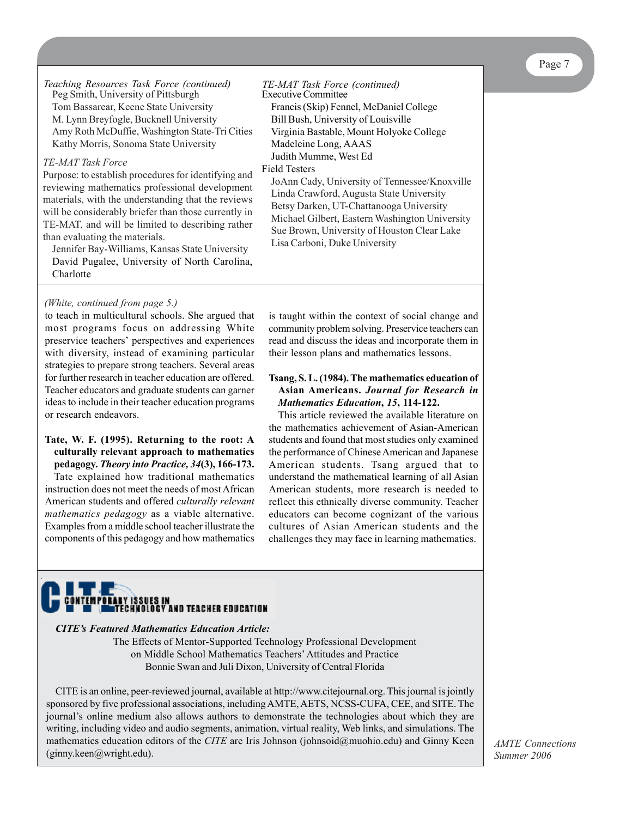Peg Smith, University of Pittsburgh Tom Bassarear, Keene State University M. Lynn Breyfogle, Bucknell University Amy Roth McDuffie, Washington State-Tri Cities Kathy Morris, Sonoma State University *Teaching Resources Task Force (continued) TE-MAT Task Force (continued)*

#### *TE-MAT Task Force*

Purpose: to establish procedures for identifying and reviewing mathematics professional development materials, with the understanding that the reviews will be considerably briefer than those currently in TE-MAT, and will be limited to describing rather than evaluating the materials.

Jennifer Bay-Williams, Kansas State University David Pugalee, University of North Carolina, **Charlotte** 

## Executive Committee Francis (Skip) Fennel, McDaniel College Bill Bush, University of Louisville Virginia Bastable, Mount Holyoke College Madeleine Long, AAAS Judith Mumme, West Ed

#### Field Testers

JoAnn Cady, University of Tennessee/Knoxville Linda Crawford, Augusta State University Betsy Darken, UT-Chattanooga University Michael Gilbert, Eastern Washington University Sue Brown, University of Houston Clear Lake Lisa Carboni, Duke University

#### *(White, continued from page 5.)*

to teach in multicultural schools. She argued that most programs focus on addressing White preservice teachers' perspectives and experiences with diversity, instead of examining particular strategies to prepare strong teachers. Several areas for further research in teacher education are offered. Teacher educators and graduate students can garner ideas to include in their teacher education programs or research endeavors.

#### **Tate, W. F. (1995). Returning to the root: A culturally relevant approach to mathematics pedagogy.** *Theory into Practice, 34***(3), 166-173.**

Tate explained how traditional mathematics instruction does not meet the needs of most African American students and offered *culturally relevant mathematics pedagogy* as a viable alternative. Examples from a middle school teacher illustrate the components of this pedagogy and how mathematics

is taught within the context of social change and community problem solving. Preservice teachers can read and discuss the ideas and incorporate them in their lesson plans and mathematics lessons.

#### **Tsang, S. L. (1984). The mathematics education of Asian Americans.** *Journal for Research in Mathematics Education***,** *15***, 114-122.**

This article reviewed the available literature on the mathematics achievement of Asian-American students and found that most studies only examined the performance of Chinese American and Japanese American students. Tsang argued that to understand the mathematical learning of all Asian American students, more research is needed to reflect this ethnically diverse community. Teacher educators can become cognizant of the various cultures of Asian American students and the challenges they may face in learning mathematics.



#### *CITE's Featured Mathematics Education Article:*

The Effects of Mentor-Supported Technology Professional Development on Middle School Mathematics Teachers' Attitudes and Practice Bonnie Swan and Juli Dixon, University of Central Florida

CITE is an online, peer-reviewed journal, available at http://www.citejournal.org. This journal is jointly sponsored by five professional associations, including AMTE, AETS, NCSS-CUFA, CEE, and SITE. The journal's online medium also allows authors to demonstrate the technologies about which they are writing, including video and audio segments, animation, virtual reality, Web links, and simulations. The mathematics education editors of the *CITE* are Iris Johnson (johnsoid@muohio.edu) and Ginny Keen (ginny.keen@wright.edu).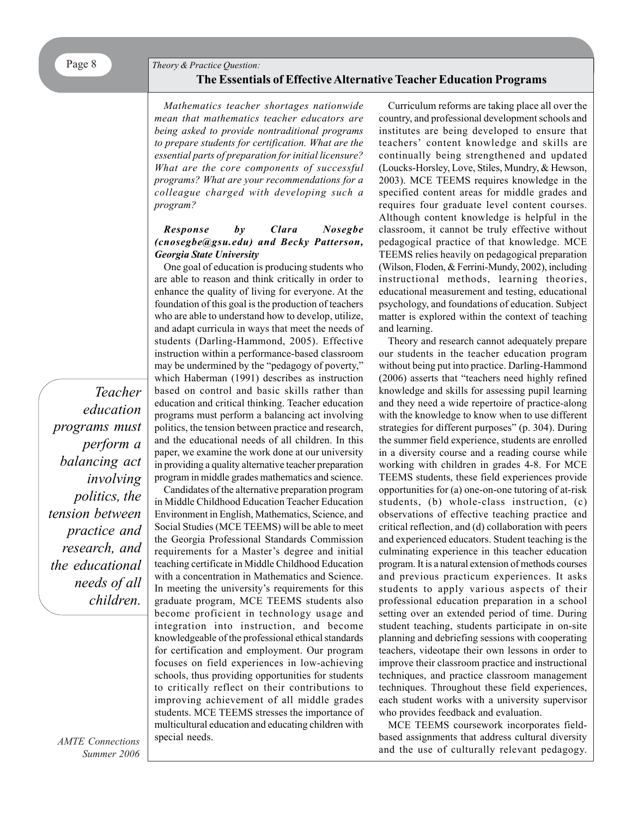## **The Essentials of Effective Alternative Teacher Education Programs**

*Mathematics teacher shortages nationwide mean that mathematics teacher educators are being asked to provide nontraditional programs to prepare students for certification. What are the essential parts of preparation for initial licensure? What are the core components of successful programs? What are your recommendations for a colleague charged with developing such a program?*

#### *Response by Clara Nosegbe (cnosegbe@gsu.edu) and Becky Patterson, Georgia State University*

One goal of education is producing students who are able to reason and think critically in order to enhance the quality of living for everyone. At the foundation of this goal is the production of teachers who are able to understand how to develop, utilize, and adapt curricula in ways that meet the needs of students (Darling-Hammond, 2005). Effective instruction within a performance-based classroom may be undermined by the "pedagogy of poverty," which Haberman (1991) describes as instruction based on control and basic skills rather than education and critical thinking. Teacher education programs must perform a balancing act involving politics, the tension between practice and research, and the educational needs of all children. In this paper, we examine the work done at our university in providing a quality alternative teacher preparation program in middle grades mathematics and science.

Candidates of the alternative preparation program in Middle Childhood Education Teacher Education Environment in English, Mathematics, Science, and Social Studies (MCE TEEMS) will be able to meet the Georgia Professional Standards Commission requirements for a Master's degree and initial teaching certificate in Middle Childhood Education with a concentration in Mathematics and Science. In meeting the university's requirements for this graduate program, MCE TEEMS students also become proficient in technology usage and integration into instruction, and become knowledgeable of the professional ethical standards for certification and employment. Our program focuses on field experiences in low-achieving schools, thus providing opportunities for students to critically reflect on their contributions to improving achievement of all middle grades students. MCE TEEMS stresses the importance of multicultural education and educating children with special needs.

Curriculum reforms are taking place all over the country, and professional development schools and institutes are being developed to ensure that teachers' content knowledge and skills are continually being strengthened and updated (Loucks-Horsley, Love, Stiles, Mundry, & Hewson, 2003). MCE TEEMS requires knowledge in the specified content areas for middle grades and requires four graduate level content courses. Although content knowledge is helpful in the classroom, it cannot be truly effective without pedagogical practice of that knowledge. MCE TEEMS relies heavily on pedagogical preparation (Wilson, Floden, & Ferrini-Mundy, 2002), including instructional methods, learning theories, educational measurement and testing, educational psychology, and foundations of education. Subject matter is explored within the context of teaching and learning.

Theory and research cannot adequately prepare our students in the teacher education program without being put into practice. Darling-Hammond (2006) asserts that "teachers need highly refined knowledge and skills for assessing pupil learning and they need a wide repertoire of practice-along with the knowledge to know when to use different strategies for different purposes" (p. 304). During the summer field experience, students are enrolled in a diversity course and a reading course while working with children in grades 4-8. For MCE TEEMS students, these field experiences provide opportunities for (a) one-on-one tutoring of at-risk students, (b) whole-class instruction, (c) observations of effective teaching practice and critical reflection, and (d) collaboration with peers and experienced educators. Student teaching is the culminating experience in this teacher education program. It is a natural extension of methods courses and previous practicum experiences. It asks students to apply various aspects of their professional education preparation in a school setting over an extended period of time. During student teaching, students participate in on-site planning and debriefing sessions with cooperating teachers, videotape their own lessons in order to improve their classroom practice and instructional techniques, and practice classroom management techniques. Throughout these field experiences, each student works with a university supervisor who provides feedback and evaluation.

MCE TEEMS coursework incorporates fieldbased assignments that address cultural diversity and the use of culturally relevant pedagogy.

*education programs must perform a balancing act involving politics, the tension between practice and research, and the educational needs of all children.*

*Teacher*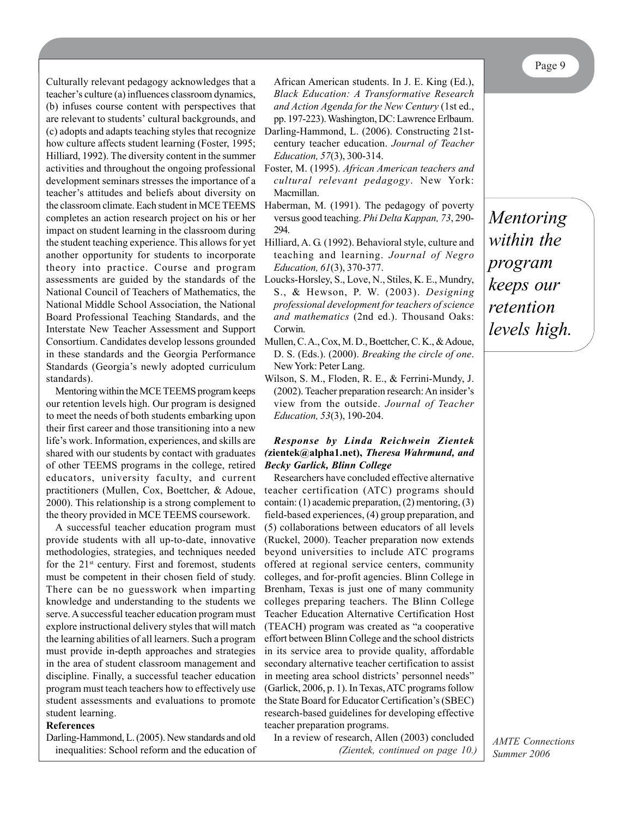Page 9

Culturally relevant pedagogy acknowledges that a teacher's culture (a) influences classroom dynamics, (b) infuses course content with perspectives that are relevant to students' cultural backgrounds, and (c) adopts and adapts teaching styles that recognize how culture affects student learning (Foster, 1995; Hilliard, 1992). The diversity content in the summer activities and throughout the ongoing professional development seminars stresses the importance of a teacher's attitudes and beliefs about diversity on the classroom climate. Each student in MCE TEEMS completes an action research project on his or her impact on student learning in the classroom during the student teaching experience. This allows for yet another opportunity for students to incorporate theory into practice. Course and program assessments are guided by the standards of the National Council of Teachers of Mathematics, the National Middle School Association, the National Board Professional Teaching Standards, and the Interstate New Teacher Assessment and Support Consortium. Candidates develop lessons grounded in these standards and the Georgia Performance Standards (Georgia's newly adopted curriculum standards).

Mentoring within the MCE TEEMS program keeps our retention levels high. Our program is designed to meet the needs of both students embarking upon their first career and those transitioning into a new life's work. Information, experiences, and skills are shared with our students by contact with graduates of other TEEMS programs in the college, retired educators, university faculty, and current practitioners (Mullen, Cox, Boettcher, & Adoue, 2000). This relationship is a strong complement to the theory provided in MCE TEEMS coursework.

A successful teacher education program must provide students with all up-to-date, innovative methodologies, strategies, and techniques needed for the  $21<sup>st</sup>$  century. First and foremost, students must be competent in their chosen field of study. There can be no guesswork when imparting knowledge and understanding to the students we serve. A successful teacher education program must explore instructional delivery styles that will match the learning abilities of all learners. Such a program must provide in-depth approaches and strategies in the area of student classroom management and discipline. Finally, a successful teacher education program must teach teachers how to effectively use student assessments and evaluations to promote student learning.

#### **References**

Darling-Hammond, L. (2005). New standards and old inequalities: School reform and the education of

African American students. In J. E. King (Ed.), *Black Education: A Transformative Research and Action Agenda for the New Century* (1st ed., pp. 197-223). Washington, DC: Lawrence Erlbaum. Darling-Hammond, L. (2006). Constructing 21st-

century teacher education. *Journal of Teacher Education, 57*(3), 300-314.

- Foster, M. (1995). *African American teachers and cultural relevant pedagogy*. New York: Macmillan.
- Haberman, M. (1991). The pedagogy of poverty versus good teaching. *Phi Delta Kappan, 73*, 290- 294.
- Hilliard, A. G. (1992). Behavioral style, culture and teaching and learning. *Journal of Negro Education, 61*(3), 370-377.
- Loucks-Horsley, S., Love, N., Stiles, K. E., Mundry, S., & Hewson, P. W. (2003). *Designing professional development for teachers of science and mathematics* (2nd ed.). Thousand Oaks: Corwin.
- Mullen, C. A., Cox, M. D., Boettcher, C. K., & Adoue, D. S. (Eds.). (2000). *Breaking the circle of one*. New York: Peter Lang.
- Wilson, S. M., Floden, R. E., & Ferrini-Mundy, J. (2002). Teacher preparation research: An insider's view from the outside. *Journal of Teacher Education, 53*(3), 190-204.

#### *Response by Linda Reichwein Zientek (***zientek@alpha1.net),** *Theresa Wahrmund, and Becky Garlick, Blinn College*

Researchers have concluded effective alternative teacher certification (ATC) programs should contain: (1) academic preparation, (2) mentoring, (3) field-based experiences, (4) group preparation, and (5) collaborations between educators of all levels (Ruckel, 2000). Teacher preparation now extends beyond universities to include ATC programs offered at regional service centers, community colleges, and for-profit agencies. Blinn College in Brenham, Texas is just one of many community colleges preparing teachers. The Blinn College Teacher Education Alternative Certification Host (TEACH) program was created as "a cooperative effort between Blinn College and the school districts in its service area to provide quality, affordable secondary alternative teacher certification to assist in meeting area school districts' personnel needs" (Garlick, 2006, p. 1). In Texas, ATC programs follow the State Board for Educator Certification's (SBEC) research-based guidelines for developing effective teacher preparation programs.

In a review of research, Allen (2003) concluded *(Zientek, continued on page 10.)*

*Mentoring within the program keeps our retention levels high.*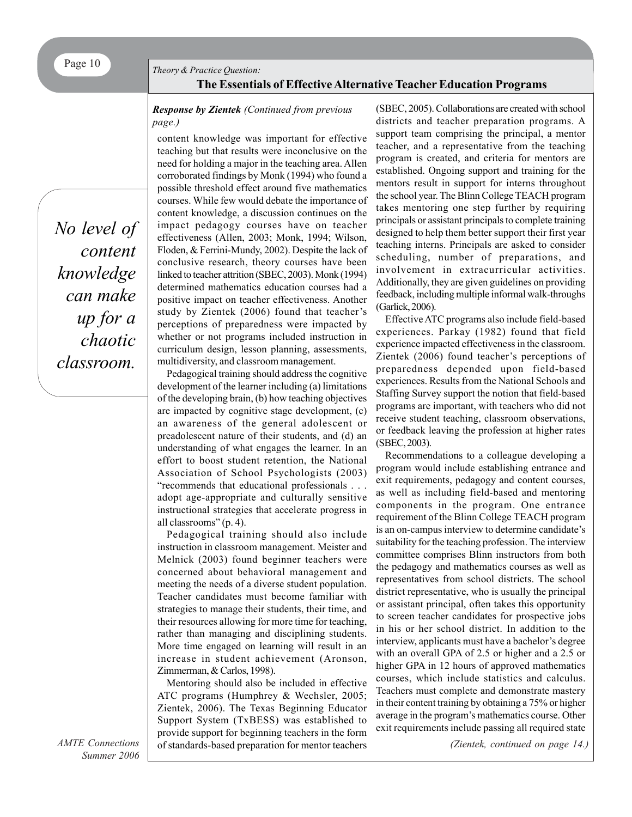#### *Theory & Practice Question:*

### **The Essentials of Effective Alternative Teacher Education Programs**

#### *Response by Zientek (Continued from previous page.)*

*No level of content knowledge can make up for a chaotic classroom.*

content knowledge was important for effective teaching but that results were inconclusive on the need for holding a major in the teaching area. Allen corroborated findings by Monk (1994) who found a possible threshold effect around five mathematics courses. While few would debate the importance of content knowledge, a discussion continues on the impact pedagogy courses have on teacher effectiveness (Allen, 2003; Monk, 1994; Wilson, Floden, & Ferrini-Mundy, 2002). Despite the lack of conclusive research, theory courses have been linked to teacher attrition (SBEC, 2003). Monk (1994) determined mathematics education courses had a positive impact on teacher effectiveness. Another study by Zientek (2006) found that teacher's perceptions of preparedness were impacted by whether or not programs included instruction in curriculum design, lesson planning, assessments, multidiversity, and classroom management.

Pedagogical training should address the cognitive development of the learner including (a) limitations of the developing brain, (b) how teaching objectives are impacted by cognitive stage development, (c) an awareness of the general adolescent or preadolescent nature of their students, and (d) an understanding of what engages the learner. In an effort to boost student retention, the National Association of School Psychologists (2003) "recommends that educational professionals . . . adopt age-appropriate and culturally sensitive instructional strategies that accelerate progress in all classrooms" (p. 4).

Pedagogical training should also include instruction in classroom management. Meister and Melnick (2003) found beginner teachers were concerned about behavioral management and meeting the needs of a diverse student population. Teacher candidates must become familiar with strategies to manage their students, their time, and their resources allowing for more time for teaching, rather than managing and disciplining students. More time engaged on learning will result in an increase in student achievement (Aronson, Zimmerman, & Carlos, 1998).

Mentoring should also be included in effective ATC programs (Humphrey & Wechsler, 2005; Zientek, 2006). The Texas Beginning Educator Support System (TxBESS) was established to provide support for beginning teachers in the form of standards-based preparation for mentor teachers

(SBEC, 2005). Collaborations are created with school districts and teacher preparation programs. A support team comprising the principal, a mentor teacher, and a representative from the teaching program is created, and criteria for mentors are established. Ongoing support and training for the mentors result in support for interns throughout the school year. The Blinn College TEACH program takes mentoring one step further by requiring principals or assistant principals to complete training designed to help them better support their first year teaching interns. Principals are asked to consider scheduling, number of preparations, and involvement in extracurricular activities. Additionally, they are given guidelines on providing feedback, including multiple informal walk-throughs (Garlick, 2006).

Effective ATC programs also include field-based experiences. Parkay (1982) found that field experience impacted effectiveness in the classroom. Zientek (2006) found teacher's perceptions of preparedness depended upon field-based experiences. Results from the National Schools and Staffing Survey support the notion that field-based programs are important, with teachers who did not receive student teaching, classroom observations, or feedback leaving the profession at higher rates (SBEC, 2003).

Recommendations to a colleague developing a program would include establishing entrance and exit requirements, pedagogy and content courses, as well as including field-based and mentoring components in the program. One entrance requirement of the Blinn College TEACH program is an on-campus interview to determine candidate's suitability for the teaching profession. The interview committee comprises Blinn instructors from both the pedagogy and mathematics courses as well as representatives from school districts. The school district representative, who is usually the principal or assistant principal, often takes this opportunity to screen teacher candidates for prospective jobs in his or her school district. In addition to the interview, applicants must have a bachelor's degree with an overall GPA of 2.5 or higher and a 2.5 or higher GPA in 12 hours of approved mathematics courses, which include statistics and calculus. Teachers must complete and demonstrate mastery in their content training by obtaining a 75% or higher average in the program's mathematics course. Other exit requirements include passing all required state

*(Zientek, continued on page 14.)*

*AMTE Connections Summer 2006*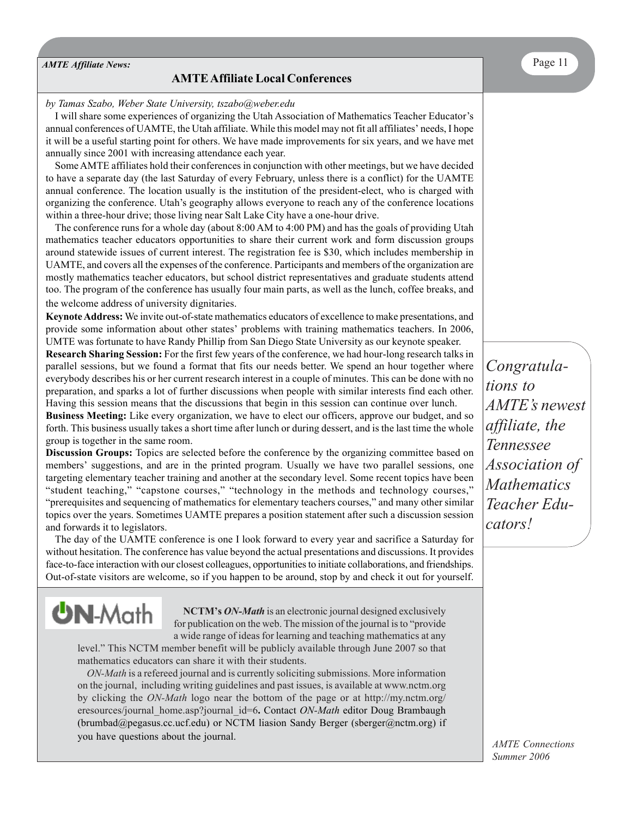*AMTE Affiliate News:* Page 11

**UN-Math** 

#### **AMTE Affiliate Local Conferences**

#### *by Tamas Szabo, Weber State University, tszabo@weber.edu*

I will share some experiences of organizing the Utah Association of Mathematics Teacher Educator's annual conferences of UAMTE, the Utah affiliate. While this model may not fit all affiliates' needs, I hope it will be a useful starting point for others. We have made improvements for six years, and we have met annually since 2001 with increasing attendance each year.

Some AMTE affiliates hold their conferences in conjunction with other meetings, but we have decided to have a separate day (the last Saturday of every February, unless there is a conflict) for the UAMTE annual conference. The location usually is the institution of the president-elect, who is charged with organizing the conference. Utah's geography allows everyone to reach any of the conference locations within a three-hour drive; those living near Salt Lake City have a one-hour drive.

The conference runs for a whole day (about 8:00 AM to 4:00 PM) and has the goals of providing Utah mathematics teacher educators opportunities to share their current work and form discussion groups around statewide issues of current interest. The registration fee is \$30, which includes membership in UAMTE, and covers all the expenses of the conference. Participants and members of the organization are mostly mathematics teacher educators, but school district representatives and graduate students attend too. The program of the conference has usually four main parts, as well as the lunch, coffee breaks, and the welcome address of university dignitaries.

**Keynote Address:** We invite out-of-state mathematics educators of excellence to make presentations, and provide some information about other states' problems with training mathematics teachers. In 2006, UMTE was fortunate to have Randy Phillip from San Diego State University as our keynote speaker.

**Research Sharing Session:** For the first few years of the conference, we had hour-long research talks in parallel sessions, but we found a format that fits our needs better. We spend an hour together where everybody describes his or her current research interest in a couple of minutes. This can be done with no preparation, and sparks a lot of further discussions when people with similar interests find each other. Having this session means that the discussions that begin in this session can continue over lunch.

**Business Meeting:** Like every organization, we have to elect our officers, approve our budget, and so forth. This business usually takes a short time after lunch or during dessert, and is the last time the whole group is together in the same room.

**Discussion Groups:** Topics are selected before the conference by the organizing committee based on members' suggestions, and are in the printed program. Usually we have two parallel sessions, one targeting elementary teacher training and another at the secondary level. Some recent topics have been "student teaching," "capstone courses," "technology in the methods and technology courses," "prerequisites and sequencing of mathematics for elementary teachers courses," and many other similar topics over the years. Sometimes UAMTE prepares a position statement after such a discussion session and forwards it to legislators.

The day of the UAMTE conference is one I look forward to every year and sacrifice a Saturday for without hesitation. The conference has value beyond the actual presentations and discussions. It provides face-to-face interaction with our closest colleagues, opportunities to initiate collaborations, and friendships. Out-of-state visitors are welcome, so if you happen to be around, stop by and check it out for yourself.

> **NCTM's** *ON-Math* is an electronic journal designed exclusively for publication on the web. The mission of the journal is to "provide a wide range of ideas for learning and teaching mathematics at any

level." This NCTM member benefit will be publicly available through June 2007 so that mathematics educators can share it with their students.

*ON-Math* is a refereed journal and is currently soliciting submissions. More information on the journal, including writing guidelines and past issues, is available at www.nctm.org by clicking the *ON-Math* logo near the bottom of the page or at http://my.nctm.org/ eresources/journal\_home.asp?journal\_id=6**.** Contact *ON-Math* editor Doug Brambaugh (brumbad@pegasus.cc.ucf.edu) or NCTM liasion Sandy Berger (sberger@nctm.org) if you have questions about the journal.

*Congratulations to AMTE's newest affiliate, the Tennessee Association of Mathematics Teacher Educators!*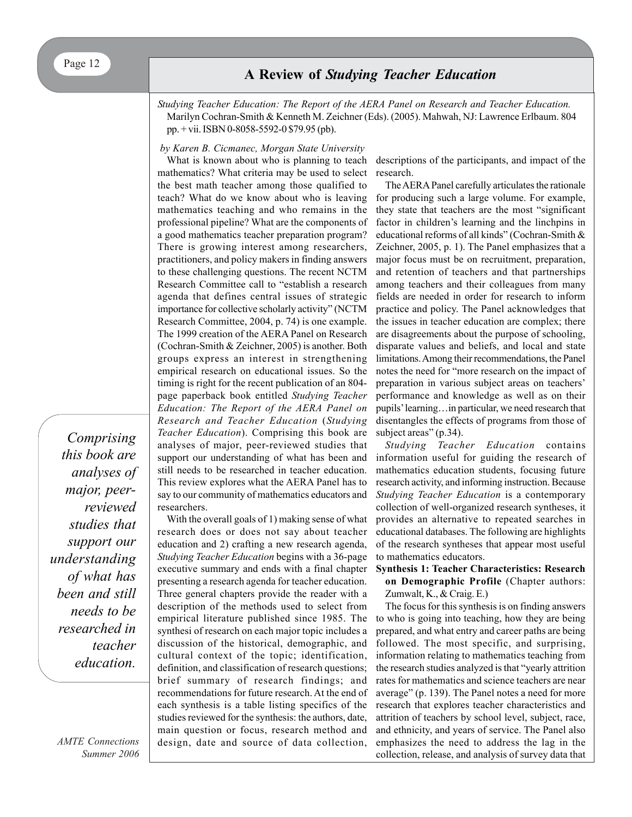*Studying Teacher Education: The Report of the AERA Panel on Research and Teacher Education.* Marilyn Cochran-Smith & Kenneth M. Zeichner (Eds). (2005). Mahwah, NJ: Lawrence Erlbaum. 804 pp. + vii. ISBN 0-8058-5592-0 \$79.95 (pb).

#### *by Karen B. Cicmanec, Morgan State University*

What is known about who is planning to teach mathematics? What criteria may be used to select the best math teacher among those qualified to teach? What do we know about who is leaving mathematics teaching and who remains in the professional pipeline? What are the components of a good mathematics teacher preparation program? There is growing interest among researchers, practitioners, and policy makers in finding answers to these challenging questions. The recent NCTM Research Committee call to "establish a research agenda that defines central issues of strategic importance for collective scholarly activity" (NCTM Research Committee, 2004, p. 74) is one example. The 1999 creation of the AERA Panel on Research (Cochran-Smith & Zeichner, 2005) is another. Both groups express an interest in strengthening empirical research on educational issues. So the timing is right for the recent publication of an 804 page paperback book entitled *Studying Teacher Education: The Report of the AERA Panel on Research and Teacher Education* (*Studying Teacher Education*). Comprising this book are analyses of major, peer-reviewed studies that support our understanding of what has been and still needs to be researched in teacher education. This review explores what the AERA Panel has to say to our community of mathematics educators and researchers.

With the overall goals of 1) making sense of what research does or does not say about teacher education and 2) crafting a new research agenda, *Studying Teacher Education* begins with a 36-page executive summary and ends with a final chapter presenting a research agenda for teacher education. Three general chapters provide the reader with a description of the methods used to select from empirical literature published since 1985. The synthesi of research on each major topic includes a discussion of the historical, demographic, and cultural context of the topic; identification, definition, and classification of research questions; brief summary of research findings; and recommendations for future research. At the end of each synthesis is a table listing specifics of the studies reviewed for the synthesis: the authors, date, main question or focus, research method and design, date and source of data collection, descriptions of the participants, and impact of the research.

The AERA Panel carefully articulates the rationale for producing such a large volume. For example, they state that teachers are the most "significant factor in children's learning and the linchpins in educational reforms of all kinds" (Cochran-Smith & Zeichner, 2005, p. 1). The Panel emphasizes that a major focus must be on recruitment, preparation, and retention of teachers and that partnerships among teachers and their colleagues from many fields are needed in order for research to inform practice and policy. The Panel acknowledges that the issues in teacher education are complex; there are disagreements about the purpose of schooling, disparate values and beliefs, and local and state limitations. Among their recommendations, the Panel notes the need for "more research on the impact of preparation in various subject areas on teachers' performance and knowledge as well as on their pupils' learning…in particular, we need research that disentangles the effects of programs from those of subject areas" (p.34).

*Studying Teacher Education* contains information useful for guiding the research of mathematics education students, focusing future research activity, and informing instruction. Because *Studying Teacher Education* is a contemporary collection of well-organized research syntheses, it provides an alternative to repeated searches in educational databases. The following are highlights of the research syntheses that appear most useful to mathematics educators.

**Synthesis 1: Teacher Characteristics: Research on Demographic Profile** (Chapter authors: Zumwalt, K., & Craig. E.)

The focus for this synthesis is on finding answers to who is going into teaching, how they are being prepared, and what entry and career paths are being followed. The most specific, and surprising, information relating to mathematics teaching from the research studies analyzed is that "yearly attrition rates for mathematics and science teachers are near average" (p. 139). The Panel notes a need for more research that explores teacher characteristics and attrition of teachers by school level, subject, race, and ethnicity, and years of service. The Panel also emphasizes the need to address the lag in the collection, release, and analysis of survey data that

*Comprising this book are analyses of major, peerreviewed studies that support our understanding of what has been and still needs to be researched in teacher education.*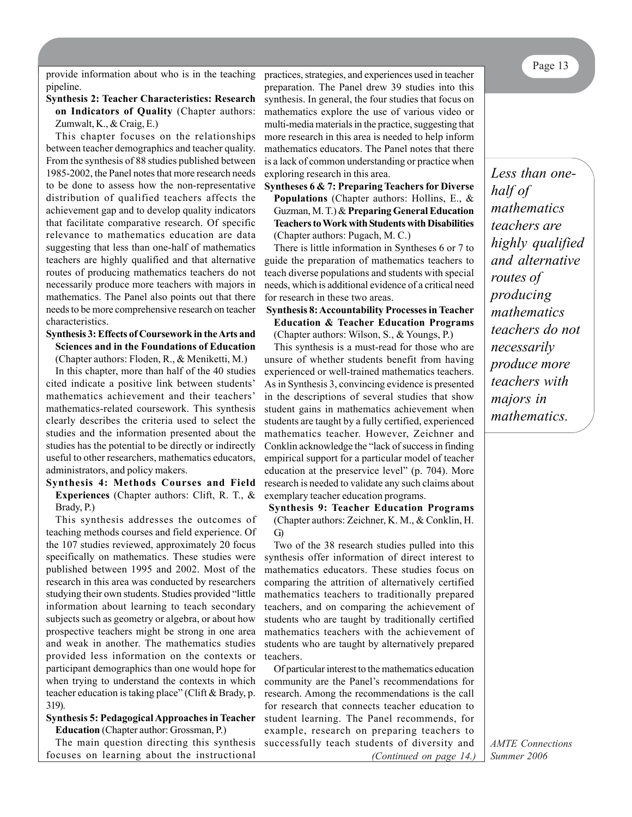provide information about who is in the teaching practices, strategies, and experiences used in teacher pipeline.

#### **Synthesis 2: Teacher Characteristics: Research on Indicators of Quality** (Chapter authors: Zumwalt, K., & Craig, E.)

This chapter focuses on the relationships between teacher demographics and teacher quality. From the synthesis of 88 studies published between 1985-2002, the Panel notes that more research needs to be done to assess how the non-representative distribution of qualified teachers affects the achievement gap and to develop quality indicators that facilitate comparative research. Of specific relevance to mathematics education are data suggesting that less than one-half of mathematics teachers are highly qualified and that alternative routes of producing mathematics teachers do not necessarily produce more teachers with majors in mathematics. The Panel also points out that there needs to be more comprehensive research on teacher characteristics.

#### **Synthesis 3: Effects of Coursework in the Arts and Sciences and in the Foundations of Education**

(Chapter authors: Floden, R., & Meniketti, M.)

In this chapter, more than half of the 40 studies cited indicate a positive link between students' mathematics achievement and their teachers' mathematics-related coursework. This synthesis clearly describes the criteria used to select the studies and the information presented about the studies has the potential to be directly or indirectly useful to other researchers, mathematics educators, administrators, and policy makers.

#### **Synthesis 4: Methods Courses and Field Experiences** (Chapter authors: Clift, R. T., & Brady, P.)

This synthesis addresses the outcomes of teaching methods courses and field experience. Of the 107 studies reviewed, approximately 20 focus specifically on mathematics. These studies were published between 1995 and 2002. Most of the research in this area was conducted by researchers studying their own students. Studies provided "little information about learning to teach secondary subjects such as geometry or algebra, or about how prospective teachers might be strong in one area and weak in another. The mathematics studies provided less information on the contexts or participant demographics than one would hope for when trying to understand the contexts in which teacher education is taking place" (Clift & Brady, p. 319).

#### **Synthesis 5: Pedagogical Approaches in Teacher Education** (Chapter author: Grossman, P.)

The main question directing this synthesis focuses on learning about the instructional

practices, strategies, and experiences used in teacher preparation. The Panel drew 39 studies into this synthesis. In general, the four studies that focus on mathematics explore the use of various video or multi-media materials in the practice, suggesting that more research in this area is needed to help inform mathematics educators. The Panel notes that there is a lack of common understanding or practice when exploring research in this area.

#### **Syntheses 6 & 7: Preparing Teachers for Diverse Populations** (Chapter authors: Hollins, E., & Guzman, M. T.) & **Preparing General Education Teachers to Work with Students with Disabilities** (Chapter authors: Pugach, M. C.)

There is little information in Syntheses 6 or 7 to guide the preparation of mathematics teachers to teach diverse populations and students with special needs, which is additional evidence of a critical need for research in these two areas.

#### **Synthesis 8: Accountability Processes in Teacher Education & Teacher Education Programs** (Chapter authors: Wilson, S., & Youngs, P.)

This synthesis is a must-read for those who are unsure of whether students benefit from having experienced or well-trained mathematics teachers. As in Synthesis 3, convincing evidence is presented in the descriptions of several studies that show student gains in mathematics achievement when students are taught by a fully certified, experienced mathematics teacher. However, Zeichner and Conklin acknowledge the "lack of success in finding empirical support for a particular model of teacher education at the preservice level" (p. 704). More research is needed to validate any such claims about exemplary teacher education programs.

#### **Synthesis 9: Teacher Education Programs** (Chapter authors: Zeichner, K. M., & Conklin, H. G)

Two of the 38 research studies pulled into this synthesis offer information of direct interest to mathematics educators. These studies focus on comparing the attrition of alternatively certified mathematics teachers to traditionally prepared teachers, and on comparing the achievement of students who are taught by traditionally certified mathematics teachers with the achievement of students who are taught by alternatively prepared teachers.

Of particular interest to the mathematics education community are the Panel's recommendations for research. Among the recommendations is the call for research that connects teacher education to student learning. The Panel recommends, for example, research on preparing teachers to successfully teach students of diversity and

*(Continued on page 14.)*

*Less than onehalf of mathematics teachers are highly qualified and alternative routes of producing mathematics teachers do not necessarily produce more teachers with majors in mathematics.*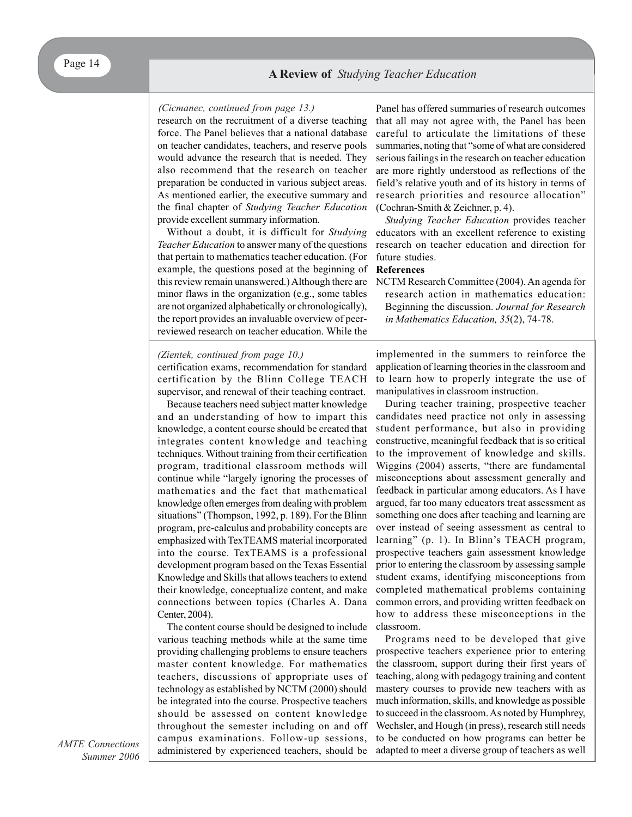#### *(Cicmanec, continued from page 13.)*

research on the recruitment of a diverse teaching force. The Panel believes that a national database on teacher candidates, teachers, and reserve pools would advance the research that is needed. They also recommend that the research on teacher preparation be conducted in various subject areas. As mentioned earlier, the executive summary and the final chapter of *Studying Teacher Education* provide excellent summary information.

Without a doubt, it is difficult for *Studying Teacher Education* to answer many of the questions that pertain to mathematics teacher education. (For example, the questions posed at the beginning of this review remain unanswered.) Although there are minor flaws in the organization (e.g., some tables are not organized alphabetically or chronologically), the report provides an invaluable overview of peerreviewed research on teacher education. While the

#### *(Zientek, continued from page 10.)*

certification exams, recommendation for standard certification by the Blinn College TEACH supervisor, and renewal of their teaching contract.

Because teachers need subject matter knowledge and an understanding of how to impart this knowledge, a content course should be created that integrates content knowledge and teaching techniques. Without training from their certification program, traditional classroom methods will continue while "largely ignoring the processes of mathematics and the fact that mathematical knowledge often emerges from dealing with problem situations" (Thompson, 1992, p. 189). For the Blinn program, pre-calculus and probability concepts are emphasized with TexTEAMS material incorporated into the course. TexTEAMS is a professional development program based on the Texas Essential Knowledge and Skills that allows teachers to extend their knowledge, conceptualize content, and make connections between topics (Charles A. Dana Center, 2004).

The content course should be designed to include various teaching methods while at the same time providing challenging problems to ensure teachers master content knowledge. For mathematics teachers, discussions of appropriate uses of technology as established by NCTM (2000) should be integrated into the course. Prospective teachers should be assessed on content knowledge throughout the semester including on and off campus examinations. Follow-up sessions, administered by experienced teachers, should be

Panel has offered summaries of research outcomes that all may not agree with, the Panel has been careful to articulate the limitations of these summaries, noting that "some of what are considered serious failings in the research on teacher education are more rightly understood as reflections of the field's relative youth and of its history in terms of research priorities and resource allocation" (Cochran-Smith & Zeichner, p. 4).

*Studying Teacher Education* provides teacher educators with an excellent reference to existing research on teacher education and direction for future studies.

#### **References**

NCTM Research Committee (2004). An agenda for research action in mathematics education: Beginning the discussion. *Journal for Research in Mathematics Education, 35*(2), 74-78.

implemented in the summers to reinforce the application of learning theories in the classroom and to learn how to properly integrate the use of manipulatives in classroom instruction.

During teacher training, prospective teacher candidates need practice not only in assessing student performance, but also in providing constructive, meaningful feedback that is so critical to the improvement of knowledge and skills. Wiggins (2004) asserts, "there are fundamental misconceptions about assessment generally and feedback in particular among educators. As I have argued, far too many educators treat assessment as something one does after teaching and learning are over instead of seeing assessment as central to learning" (p. 1). In Blinn's TEACH program, prospective teachers gain assessment knowledge prior to entering the classroom by assessing sample student exams, identifying misconceptions from completed mathematical problems containing common errors, and providing written feedback on how to address these misconceptions in the classroom.

Programs need to be developed that give prospective teachers experience prior to entering the classroom, support during their first years of teaching, along with pedagogy training and content mastery courses to provide new teachers with as much information, skills, and knowledge as possible to succeed in the classroom. As noted by Humphrey, Wechsler, and Hough (in press), research still needs to be conducted on how programs can better be adapted to meet a diverse group of teachers as well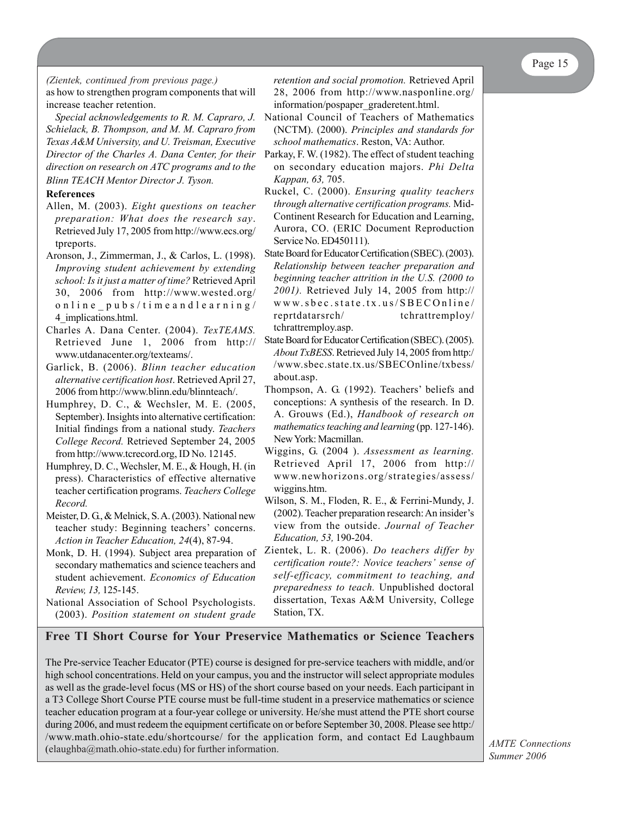*(Zientek, continued from previous page.)* as how to strengthen program components that will increase teacher retention.

*Special acknowledgements to R. M. Capraro, J. Schielack, B. Thompson, and M. M. Capraro from Texas A&M University, and U. Treisman, Executive Director of the Charles A. Dana Center, for their direction on research on ATC programs and to the*

*Blinn TEACH Mentor Director J. Tyson.*

#### **References**

- Allen, M. (2003). *Eight questions on teacher preparation: What does the research say*. Retrieved July 17, 2005 from http://www.ecs.org/ tpreports.
- Aronson, J., Zimmerman, J., & Carlos, L. (1998). *Improving student achievement by extending school: Is it just a matter of time?* Retrieved April 30, 2006 from http://www.wested.org/ online\_pubs/timeandlearning/ 4\_implications.html.
- Charles A. Dana Center. (2004). *TexTEAMS.* Retrieved June 1, 2006 from http:// www.utdanacenter.org/texteams/.
- Garlick, B. (2006). *Blinn teacher education alternative certification host*. Retrieved April 27, 2006 from http://www.blinn.edu/blinnteach/.
- Humphrey, D. C., & Wechsler, M. E. (2005, September). Insights into alternative certification: Initial findings from a national study. *Teachers College Record.* Retrieved September 24, 2005 from http://www.tcrecord.org, ID No. 12145.
- Humphrey, D. C., Wechsler, M. E., & Hough, H. (in press). Characteristics of effective alternative teacher certification programs. *Teachers College Record.*
- Meister, D. G., & Melnick, S. A. (2003). National new teacher study: Beginning teachers' concerns. *Action in Teacher Education, 24*(4), 87-94.
- Monk, D. H. (1994). Subject area preparation of secondary mathematics and science teachers and student achievement. *Economics of Education Review, 13,* 125-145.
- National Association of School Psychologists. (2003). *Position statement on student grade*

*retention and social promotion.* Retrieved April 28, 2006 from http://www.nasponline.org/ information/pospaper\_graderetent.html.

- National Council of Teachers of Mathematics (NCTM). (2000). *Principles and standards for school mathematics*. Reston, VA: Author.
- Parkay, F. W. (1982). The effect of student teaching on secondary education majors. *Phi Delta Kappan, 63,* 705.
- Ruckel, C. (2000). *Ensuring quality teachers through alternative certification programs.* Mid-Continent Research for Education and Learning, Aurora, CO. (ERIC Document Reproduction Service No. ED450111).
- State Board for Educator Certification (SBEC). (2003). *Relationship between teacher preparation and beginning teacher attrition in the U.S. (2000 to 2001).* Retrieved July 14, 2005 from http:// www.sbec.state.tx.us/SBECOnline/ reprtdatarsrch/ tchrattremploy/ tchrattremploy.asp.
- State Board for Educator Certification (SBEC). (2005). *About TxBESS*. Retrieved July 14, 2005 from http:/ /www.sbec.state.tx.us/SBECOnline/txbess/ about.asp.
- Thompson, A. G. (1992). Teachers' beliefs and conceptions: A synthesis of the research. In D. A. Grouws (Ed.), *Handbook of research on mathematics teaching and learning* (pp. 127-146). New York: Macmillan.
- Wiggins, G. (2004 ). *Assessment as learning.* Retrieved April 17, 2006 from http:// www.newhorizons.org/strategies/assess/ wiggins.htm.
- Wilson, S. M., Floden, R. E., & Ferrini-Mundy, J. (2002). Teacher preparation research: An insider's view from the outside. *Journal of Teacher Education, 53,* 190-204.
- Zientek, L. R. (2006). *Do teachers differ by certification route?: Novice teachers' sense of self-efficacy, commitment to teaching, and preparedness to teach.* Unpublished doctoral dissertation, Texas A&M University, College Station, TX.

### **Free TI Short Course for Your Preservice Mathematics or Science Teachers**

The Pre-service Teacher Educator (PTE) course is designed for pre-service teachers with middle, and/or high school concentrations. Held on your campus, you and the instructor will select appropriate modules as well as the grade-level focus (MS or HS) of the short course based on your needs. Each participant in a T3 College Short Course PTE course must be full-time student in a preservice mathematics or science teacher education program at a four-year college or university. He/she must attend the PTE short course during 2006, and must redeem the equipment certificate on or before September 30, 2008. Please see http:/ /www.math.ohio-state.edu/shortcourse/ for the application form, and contact Ed Laughbaum (elaughba@math.ohio-state.edu) for further information.